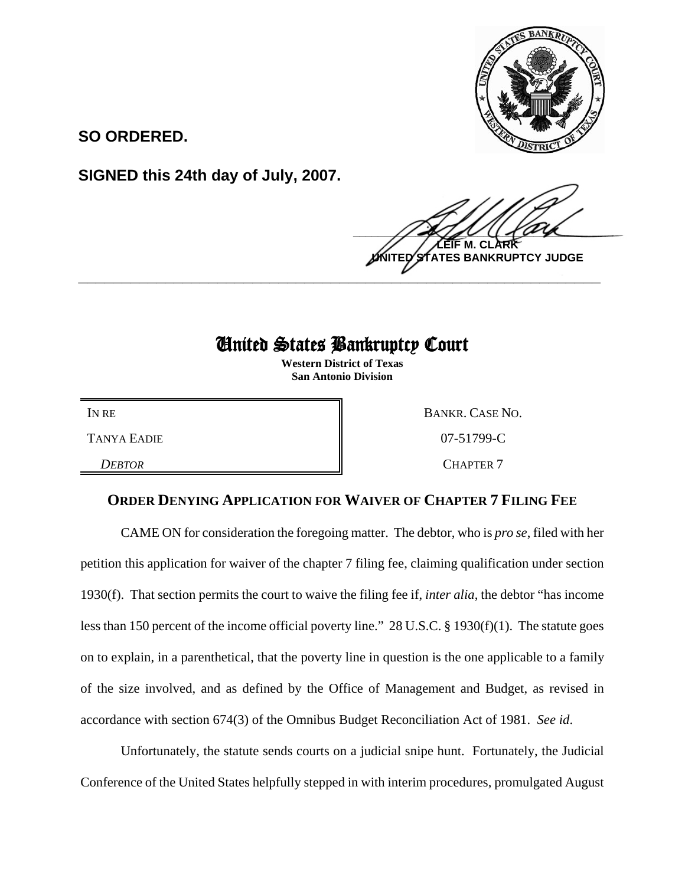

**SO ORDERED.**

**SIGNED this 24th day of July, 2007.**

 $\frac{1}{2}$ **LEIF M. CLARK BANKRUPTCY JUDGE \_\_\_\_\_\_\_\_\_\_\_\_\_\_\_\_\_\_\_\_\_\_\_\_\_\_\_\_\_\_\_\_\_\_\_\_\_\_\_\_\_\_\_\_\_\_\_\_\_\_\_\_\_\_\_\_\_\_\_\_**

## United States Bankruptcy Court

**Western District of Texas San Antonio Division**

IN RE BANKR. CASE NO. TANYA EADIE 207-51799-C **DEBTOR** CHAPTER 7

## **ORDER DENYING APPLICATION FOR WAIVER OF CHAPTER 7 FILING FEE**

CAME ON for consideration the foregoing matter. The debtor, who is *pro se*, filed with her petition this application for waiver of the chapter 7 filing fee, claiming qualification under section 1930(f). That section permits the court to waive the filing fee if, *inter alia*, the debtor "has income less than 150 percent of the income official poverty line." 28 U.S.C. § 1930(f)(1). The statute goes on to explain, in a parenthetical, that the poverty line in question is the one applicable to a family of the size involved, and as defined by the Office of Management and Budget, as revised in accordance with section 674(3) of the Omnibus Budget Reconciliation Act of 1981. *See id*.

Unfortunately, the statute sends courts on a judicial snipe hunt. Fortunately, the Judicial Conference of the United States helpfully stepped in with interim procedures, promulgated August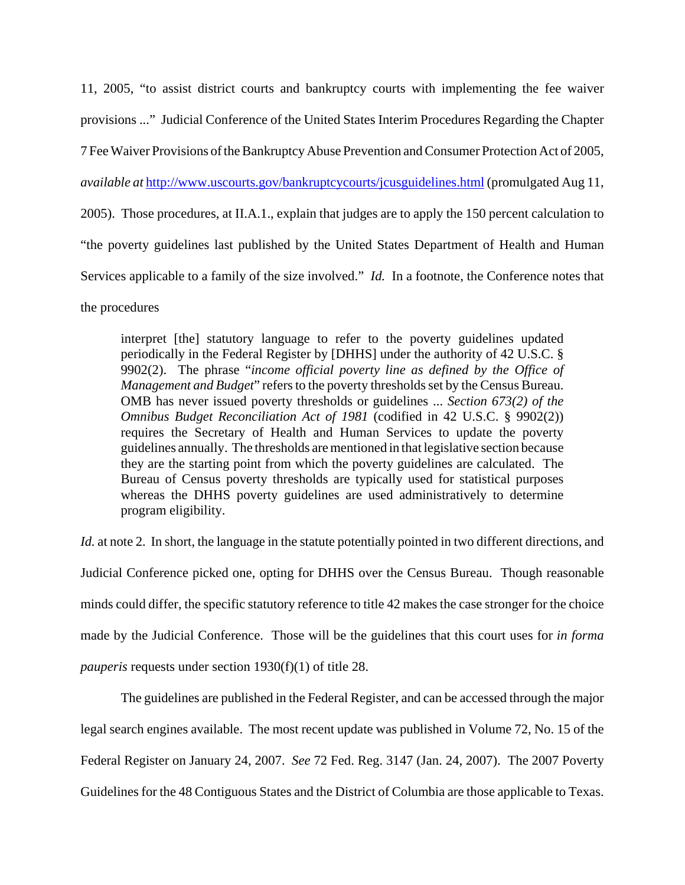11, 2005, "to assist district courts and bankruptcy courts with implementing the fee waiver provisions ..." Judicial Conference of the United States Interim Procedures Regarding the Chapter 7 Fee Waiver Provisions of the Bankruptcy Abuse Prevention and Consumer Protection Act of 2005, *available at* http://www.uscourts.gov/bankruptcycourts/jcusguidelines.html (promulgated Aug 11, 2005). Those procedures, at II.A.1., explain that judges are to apply the 150 percent calculation to "the poverty guidelines last published by the United States Department of Health and Human Services applicable to a family of the size involved." *Id.* In a footnote, the Conference notes that

the procedures

interpret [the] statutory language to refer to the poverty guidelines updated periodically in the Federal Register by [DHHS] under the authority of 42 U.S.C. § 9902(2). The phrase "*income official poverty line as defined by the Office of Management and Budget*" refers to the poverty thresholds set by the Census Bureau. OMB has never issued poverty thresholds or guidelines ... *Section 673(2) of the Omnibus Budget Reconciliation Act of 1981* (codified in 42 U.S.C. § 9902(2)) requires the Secretary of Health and Human Services to update the poverty guidelines annually. The thresholds are mentioned in that legislative section because they are the starting point from which the poverty guidelines are calculated. The Bureau of Census poverty thresholds are typically used for statistical purposes whereas the DHHS poverty guidelines are used administratively to determine program eligibility.

*Id.* at note 2. In short, the language in the statute potentially pointed in two different directions, and Judicial Conference picked one, opting for DHHS over the Census Bureau. Though reasonable minds could differ, the specific statutory reference to title 42 makes the case stronger for the choice made by the Judicial Conference. Those will be the guidelines that this court uses for *in forma pauperis* requests under section 1930(f)(1) of title 28.

The guidelines are published in the Federal Register, and can be accessed through the major legal search engines available. The most recent update was published in Volume 72, No. 15 of the Federal Register on January 24, 2007. *See* 72 Fed. Reg. 3147 (Jan. 24, 2007). The 2007 Poverty Guidelines for the 48 Contiguous States and the District of Columbia are those applicable to Texas.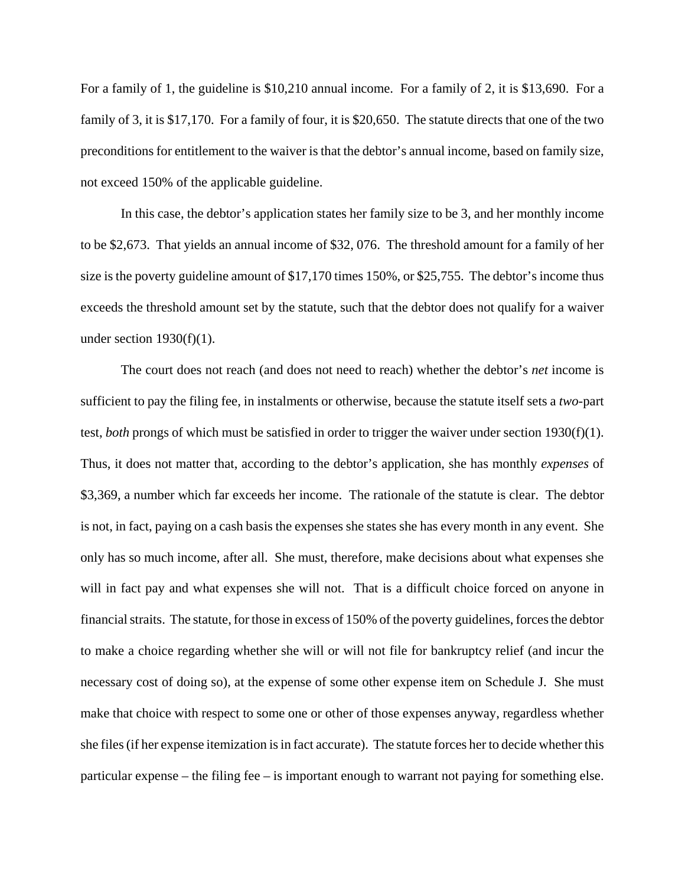For a family of 1, the guideline is \$10,210 annual income. For a family of 2, it is \$13,690. For a family of 3, it is \$17,170. For a family of four, it is \$20,650. The statute directs that one of the two preconditions for entitlement to the waiver is that the debtor's annual income, based on family size, not exceed 150% of the applicable guideline.

In this case, the debtor's application states her family size to be 3, and her monthly income to be \$2,673. That yields an annual income of \$32, 076. The threshold amount for a family of her size is the poverty guideline amount of \$17,170 times 150%, or \$25,755. The debtor's income thus exceeds the threshold amount set by the statute, such that the debtor does not qualify for a waiver under section  $1930(f)(1)$ .

The court does not reach (and does not need to reach) whether the debtor's *net* income is sufficient to pay the filing fee, in instalments or otherwise, because the statute itself sets a *two*-part test, *both* prongs of which must be satisfied in order to trigger the waiver under section 1930(f)(1). Thus, it does not matter that, according to the debtor's application, she has monthly *expenses* of \$3,369, a number which far exceeds her income. The rationale of the statute is clear. The debtor is not, in fact, paying on a cash basis the expenses she states she has every month in any event. She only has so much income, after all. She must, therefore, make decisions about what expenses she will in fact pay and what expenses she will not. That is a difficult choice forced on anyone in financial straits. The statute, for those in excess of 150% of the poverty guidelines, forces the debtor to make a choice regarding whether she will or will not file for bankruptcy relief (and incur the necessary cost of doing so), at the expense of some other expense item on Schedule J. She must make that choice with respect to some one or other of those expenses anyway, regardless whether she files (if her expense itemization is in fact accurate). The statute forces her to decide whether this particular expense – the filing fee – is important enough to warrant not paying for something else.